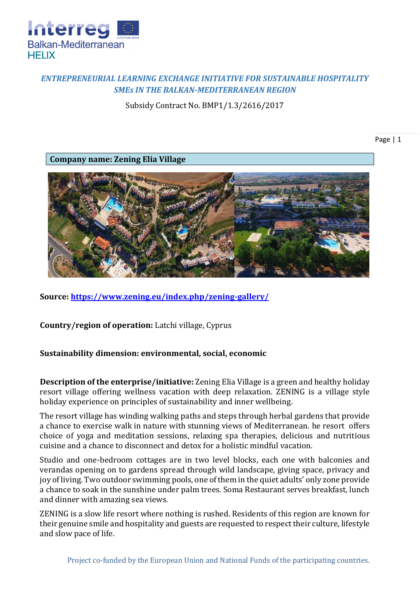

## *ENTREPRENEURIAL LEARNING EXCHANGE INITIATIVE FOR SUSTAINABLE HOSPITALITY SMEs IN THE BALKAN-MEDITERRANEAN REGION*

Subsidy Contract No. BMP1/1.3/2616/2017

Page | 1

**Company name: Zening Elia Village** 



**Source:<https://www.zening.eu/index.php/zening-gallery/>**

**Country/region of operation:** Latchi village, Cyprus

## **Sustainability dimension: environmental, social, economic**

**Description of the enterprise/initiative:** Zening Elia Village is a green and healthy holiday resort village offering wellness vacation with deep relaxation. ZENING is a village style holiday experience on principles of sustainability and inner wellbeing.

The resort village has winding walking paths and steps through herbal gardens that provide a chance to exercise walk in nature with stunning views of Mediterranean. he resort offers choice of yoga and meditation sessions, relaxing spa therapies, delicious and nutritious cuisine and a chance to disconnect and detox for a holistic mindful vacation.

Studio and one-bedroom cottages are in two level blocks, each one with balconies and verandas opening on to gardens spread through wild landscape, giving space, privacy and joy of living. Two outdoor swimming pools, one of them in the quiet adults' only zone provide a chance to soak in the sunshine under palm trees. Soma Restaurant serves breakfast, lunch and dinner with amazing sea views.

ZENING is a slow life resort where nothing is rushed. Residents of this region are known for their genuine smile and hospitality and guests are requested to respect their culture, lifestyle and slow pace of life.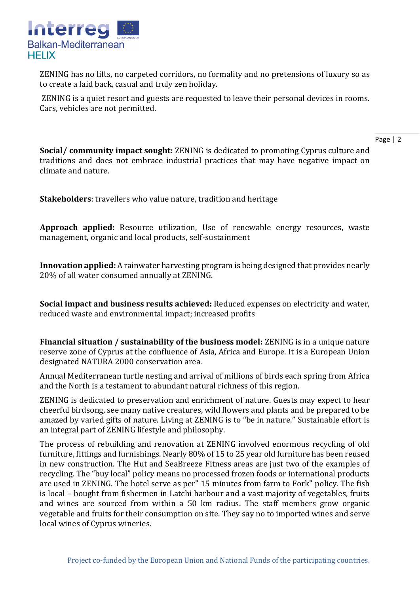

ZENING has no lifts, no carpeted corridors, no formality and no pretensions of luxury so as to create a laid back, casual and truly zen holiday.

ZENING is a quiet resort and guests are requested to leave their personal devices in rooms. Cars, vehicles are not permitted.

**Social/ community impact sought:** ZENING is dedicated to promoting Cyprus culture and traditions and does not embrace industrial practices that may have negative impact on climate and nature.

**Stakeholders**: travellers who value nature, tradition and heritage

**Approach applied:** Resource utilization, Use of renewable energy resources, waste management, organic and local products, self-sustainment

**Innovation applied:** A rainwater harvesting program is being designed that provides nearly 20% of all water consumed annually at ZENING.

**Social impact and business results achieved:** Reduced expenses on electricity and water, reduced waste and environmental impact; increased profits

**Financial situation / sustainability of the business model:** ZENING is in a unique nature reserve zone of Cyprus at the confluence of Asia, Africa and Europe. It is a European Union designated NATURA 2000 conservation area.

Annual Mediterranean turtle nesting and arrival of millions of birds each spring from Africa and the North is a testament to abundant natural richness of this region.

ZENING is dedicated to preservation and enrichment of nature. Guests may expect to hear cheerful birdsong, see many native creatures, wild flowers and plants and be prepared to be amazed by varied gifts of nature. Living at ZENING is to "be in nature." Sustainable effort is an integral part of ZENING lifestyle and philosophy.

The process of rebuilding and renovation at ZENING involved enormous recycling of old furniture, fittings and furnishings. Nearly 80% of 15 to 25 year old furniture has been reused in new construction. The Hut and SeaBreeze Fitness areas are just two of the examples of recycling. The "buy local" policy means no processed frozen foods or international products are used in ZENING. The hotel serve as per" 15 minutes from farm to Fork" policy. The fish is local – bought from fishermen in Latchi harbour and a vast majority of vegetables, fruits and wines are sourced from within a 50 km radius. The staff members grow organic vegetable and fruits for their consumption on site. They say no to imported wines and serve local wines of Cyprus wineries.